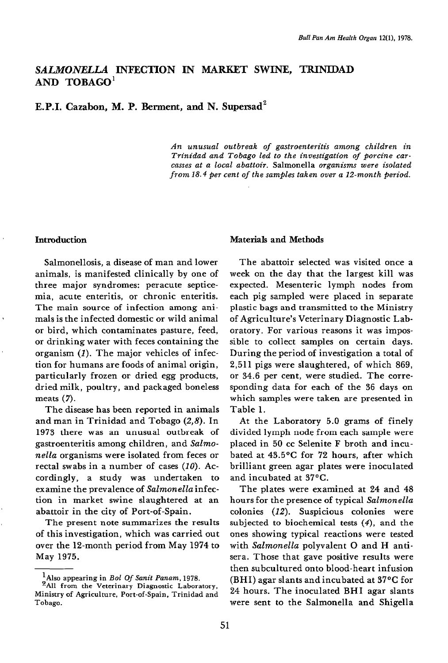# SALMONELLA INFECTION IN MARKET SWINE, TRINIDAD AND TOBAGO'

E.P.I. Cazabon, M. P. Berment, and N. Supersad'

An unusual outbreak of gastroenteritis among children in Trinidad and Tobago led to the investigation of porcine carcasses at a local abattoir. Salmonella organisms were isolated from 18.4 per cent of the samples taken over a 12-month period.

### Introduction

Salmonellosis, a disease of man and lower animals, is manifested clinically by one of three major syndromes: peracute septicemia, acute enteritis, or chronic enteritis. The main source of infection among animals is the infected domestic or wild animal or bird, which contaminates pasture, feed, or drinking water with feces containing the organism (I). The major vehicles of infection for humans are foods of animal origin, particularly frozen or dried egg products, dried milk, poultry, and packaged boneless meats (7).

The disease has been reported in animals and man in Trinidad and Tobago (2,8). In 1973 there was an unusual outbreak of gastroenteritis among children, and Salmonella organisms were isolated from feces or rectal swabs in a number of cases  $(10)$ . Accordingly, a study was undertaken to examine the prevalence of Salmonella infection in market swine slaughtered at an abattoir in the city of Port-of-Spain.

The present note summarizes the results of this investigation, which was carried out over the 12-month period from May 1974 to May 1975.

### Materials and Methods

The abattoir selected was visited once a week on the day that the largest kill was expected. Mesenteric lymph nodes from each pig sampled were placed in separate plastic bags and transmitted to the Ministry of Agriculture's Veterinary Diagnostic Laboratory. For various reasons it was impossible to collect samples on certain days. During the period of investigation a total of 2,511 pigs were slaughtered, of which 869, or 34.6 per cent, were studied. The corresponding data for each of the 36 days on which samples were taken are presented in Table 1.

At the Laboratory 5.0 grams of finely divided lymph node from each sample were placed in 50 cc Selenite F broth and incubated at 43.5°C for 72 hours, after which brilliant green agar plates were inoculated and incubated at 37°C.

The plates were examined at 24 and 48 hours for the presence of typical Salmonella colonies (12). Suspicious colonies were subjected to biochemical tests (4), and the ones showing typical reactions were tested with Salmonella polyvalent O and H antisera. Those that gave positive results were then subcultured onto blood-heart infusion (BHI) agar slants and incubated at 37°C for 24 hours. The inoculated BHI agar slants were sent to the Salmonella and Shigella

 $\frac{1}{2}$ Also appearing in *Bol Of Sanit Panam*, 1978.

<sup>&</sup>lt;sup>2</sup>All from the Veterinary Diagnostic Laboratory, Ministry of Agriculture, Port-of-Spain, Trinidad and Tobago.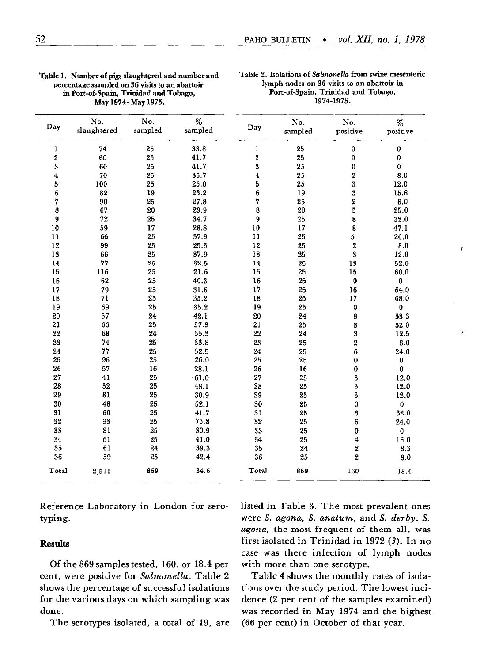|                  |                    | 1974-1975.<br>May 1974 - May 1975. |                 |          |                |                  |               |
|------------------|--------------------|------------------------------------|-----------------|----------|----------------|------------------|---------------|
| Day              | No.<br>slaughtered | No.<br>sampled                     | $\%$<br>sampled | Day      | No.<br>sampled | No.<br>positive  | %<br>positive |
| ı                | 74                 | 25                                 | 33.8            | 1        | 25             | 0                | $\pmb{0}$     |
| 2                | 60                 | 25                                 | 41.7            | 2        | 25             | $\pmb{0}$        | 0             |
| 3                | 60                 | 25                                 | 41.7            | $\bf{3}$ | 25             | 0                | $\mathbf 0$   |
| $\boldsymbol{4}$ | 70                 | 25                                 | 35.7            | $\bf{4}$ | 25             | 2                | 8.0           |
| 5                | 100                | 25                                 | 25.0            | 5        | 25             | 3                | 12.0          |
| 6                | 82                 | 19                                 | 23.2            | 6        | 19             | 3                | 15.8          |
| 7                | 90                 | 25                                 | 27.8            | 7        | 25             | 2                | 8.0           |
| 8                | 67                 | 20                                 | 29.9            | 8        | 20             | 5                | 25.0          |
| 9                | 72                 | 25                                 | 34.7            | 9        | 25             | 8                | 32.0          |
| 10               | 59                 | 17                                 | 28.8            | 10       | 17             | 8                | 47.1          |
| 11               | 66                 | 25                                 | 37.9            | 11       | 25             | 5                | 20.0          |
| 12               | 99                 | 25                                 | 25.3            | 12       | 25             | 2                | 8.0           |
| 13               | 66                 | 25                                 | 37.9            | 13       | 25             | 3                | 12.0          |
| 14               | 77                 | 25                                 | 32.5            | 14       | 25             | 13               | 52.0          |
| 15               | 116                | 25                                 | 21.6            | 15       | 25             | 15               | 60.0          |
| 16               | 62                 | 25                                 | 40.3            | 16       | 25             | $\bf{0}$         | $\bf{0}$      |
| 17               | 79                 | 25                                 | 31.6            | 17       | 25             | 16               | 64.0          |
| 18               | 71                 | 25                                 | 35.2            | 18       | 25             | 17               | 68.0          |
| 19               | 69                 | 25                                 | 35.2            | 19       | 25             | 0                | $\bf{0}$      |
| 20               | 57                 | 24                                 | 42.1            | 20       | 24             | 8                | 33.3          |
| 21               | 66                 | 25                                 | 37.9            | 21       | 25             | 8                | 32.0          |
| 22               | 68                 | 24                                 | 35.3            | 22       | 24             | $\bf{3}$         | 12.5          |
| 23               | 74                 | 25                                 | 33.8            | 23       | 25             | $\boldsymbol{2}$ | 8.0           |
| 24               | 77                 | 25                                 | 32.5            | 24       | 25             | 6                | 24.0          |
| 25               | 96                 | 25                                 | 26.0            | 25       | 25             | 0                | 0             |
| 26               | 57                 | 16                                 | 28.1            | 26       | 16             | 0                | 0             |
| 27               | 41                 | 25                                 | $-61.0$         | 27       | 25             | 3                | 12.0          |
| 28               | 52                 | 25                                 | 48.1            | 28       | 25             | 3                | 12.0          |
| 29               | 81                 | 25                                 | 30.9            | 29       | 25             | 3                | 12.0          |
| 30               | 48                 | 25                                 | 52.1            | 30       | 25             | $\pmb{0}$        | 0             |
| 31               | 60                 | 25                                 | 41.7            | 31       | 25             | 8                | 32.0          |
| 32               | 33                 | 25                                 | 75.8            | 32       | 25             | 6                | 24.0          |
| 33               | 81                 | 25                                 | 30.9            | 33       | 25             | 0                | $\bf{0}$      |
| 34               | 61                 | 25                                 | 41.0            | 34       | 25             | 4                | 16.0          |
| 35               | 61                 | 24                                 | 39.3            | 35       | 24             | $\bf 2$          | 8.3           |
| 36               | 59                 | 25                                 | 42.4            | 36       | 25             | $\overline{2}$   | 8.0           |
| Total            | 2,511              | 869                                | 34.6            | Total    | 869            | 160              | 18.4          |

Table 1. Number of pigs slaughtered and number and Table 2. Isolations of Salmonella from swine mesenteric<br>percentage sampled on 36 visits to an abattoir<br>lymph nodes on 36 visits to an abattoir in percentage sampled on 36 visits to an abattoir lymph nodes on 36 visits to an abattoir in Port-of-Spain, Trinidad and Tobago, Port-of-Spain, Trinidad and Tobago, in Port-of-Spain, Trinidad and Tobago,

f.

Reference Laboratory in London for serotyping.

## Results

Of the 869 samples tested, 160, or 18.4 per cent, were positive for Salmonella. Table 2 shows the percentage of successful isolations for the various days on which sampling was done.

The serotypes isolated, a total of 19, are

listed in Table 3. The most prevalent ones were S. agona, S. anatum, and S. derby. S. agona, the most frequent of them all, was first isolated in Trinidad in 1972 (3). In no case was there infection of lymph nodes with more than one serotype.

Table 4 shows the monthly rates of isolations over the study period. The lowest incidence (2 per cent of the samples examined) was recorded in May 1974 and the highest (66 per cent) in October of that year.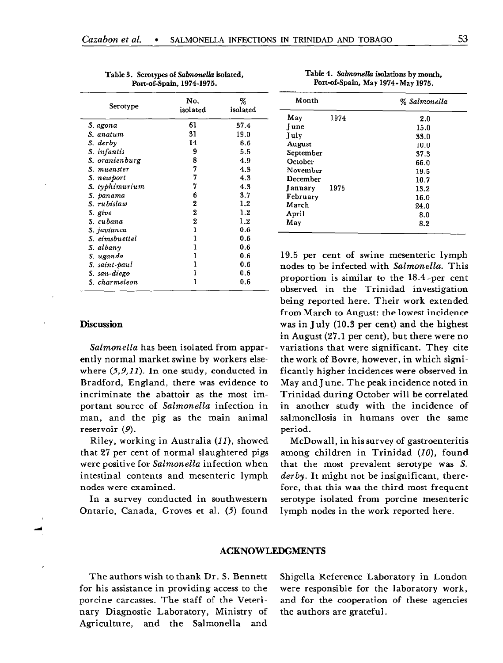| Serotype       | No.<br>isolated | %<br>isolated |
|----------------|-----------------|---------------|
| S. agona       | 61              | 37.4          |
| S. anatum      | 31              | 19.0          |
| S. derby       | 14              | 8.6           |
| S. infantis    | 9               | 5.5           |
| S. oranienburg | 8               | 4.9           |
| S. muenster    | 7               | 4.3           |
| S. newport     | 7               | 4.3           |
| S. typhimurium | 7               | 4.3           |
| S. panama      | 6               | 3.7           |
| S. rubislaw    | 2               | 1.2           |
| S. give        | 2               | 1.2           |
| S. cubana      | 2               | 1.2           |
| S. javianca    | ı               | 0.6           |
| S. eimsbuettel | ı               | 0.6           |
| S. albanv      | 1               | 0.6           |
| S. uganda      | 1               | 0.6           |
| S. saint-paul  | 1               | 0.6           |
| S. san-diego   | ı               | 0.6           |
| S. charmeleon  | ı               | 0.6           |

Table 3. Serotypes of Salmonella isolated, Port-of-Spain, 1974-1975.

### Discussion

Salmonella has been isolated from apparently normal market swine by workers elsewhere  $(5,9,11)$ . In one study, conducted in Bradford, England, there was evidence to incriminate the abattoir as the most important source of Salmonella infection in man, and the pig as the main animal reservoir (9).

Riley, working in Australia (II), showed that 27 per cent of normal slaughtered pigs were positive for Salmonella infection when intestinal contents and mesenteric lymph nodes were examined.

In a survey conducted in southwestern Ontario, Canada, Groves et al. (5) found

Table 4. Salmonella isolations by month, Port-of-Spain, May 1974-May 1975.

| Month        |      | % Salmonella |  |  |
|--------------|------|--------------|--|--|
| May          | 1974 | 2.0          |  |  |
| <b>I</b> une |      | 15.0         |  |  |
| July         |      | 33.0         |  |  |
| August       |      | 10.0         |  |  |
| September    |      | 37.3         |  |  |
| October      |      | 66.0         |  |  |
| November     |      | 19.5         |  |  |
| December     |      | 10.7         |  |  |
| January      | 1975 | 13.2         |  |  |
| February     |      | 16.0         |  |  |
| March        |      | 24.0         |  |  |
| April        |      | 8.0          |  |  |
| May          |      | 8.2          |  |  |

19.5 per cent of swine mesenteric lymph nodes to be infected with Salmonella. This proportion is similar to the 18.4-per cent observed in the Trinidad investigation being reported here. Their work extended from March to August: the lowest incidence was in July (10.3 per cent) and the highest in August (27.1 per cent), but there were no variations that were significant. They cite the work of Bovre, however, in which significantly higher incidences were observed in May and J une. The peak incidence noted in Trinidad during October will be correlated in another study with the incidence of salmonellosis in humans over the same period.

McDowall, in his survey of gastroenteritis among children in Trinidad  $(10)$ , found that the most prevalent serotype was S. derby. It might not be insignificant, therefore, that this was the third most frequent serotype isolated from porcine mesenteric lymph nodes in the work reported here.

#### ACKNOWLEDGMEN'IS

nary Diagnostic Laboratory, Ministry of the authors are grateful. Agriculture, and the Salmonella and

The authors wish to thank Dr. S. Bennett Shigella Reference Laboratory in London for his assistance in providing access to the were responsible for the laboratory work, porcine carcasses. The staff of the Veteri- and for the cooperation of these agencies